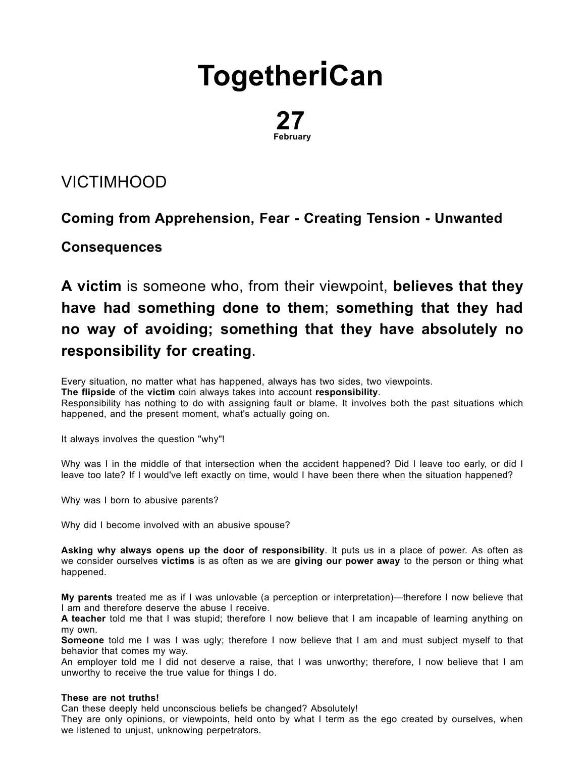# **[Together](http://togetherican.com/)iCan**

## 27 February

### [VICTIMHOOD](file:///E:/GilbertStudios/clients/michaelMcCright/togetherican.com/wwwroot/events-180227b-Victimhood.html)

### Coming from Apprehension, Fear - Creating Tension - Unwanted

#### **Consequences**

A victim is someone who, from their viewpoint, believes that they have had something done to them; something that they had no way of avoiding; something that they have absolutely no responsibility for creating.

Every situation, no matter what has happened, always has two sides, two viewpoints. The flipside of the victim coin always takes into account responsibility. Responsibility has nothing to do with assigning fault or blame. It involves both the past situations which happened, and the present moment, what's actually going on.

It always involves the question "why"!

Why was I in the middle of that intersection when the accident happened? Did I leave too early, or did I leave too late? If I would've left exactly on time, would I have been there when the situation happened?

Why was I born to abusive parents?

Why did I become involved with an abusive spouse?

Asking why always opens up the door of responsibility. It puts us in a place of power. As often as we consider ourselves victims is as often as we are giving our power away to the person or thing what happened.

My parents treated me as if I was unlovable (a perception or interpretation)—therefore I now believe that I am and therefore deserve the abuse I receive.

A teacher told me that I was stupid; therefore I now believe that I am incapable of learning anything on my own.

Someone told me I was I was ugly; therefore I now believe that I am and must subject myself to that behavior that comes my way.

An employer told me I did not deserve a raise, that I was unworthy; therefore, I now believe that I am unworthy to receive the true value for things I do.

#### These are not truths!

Can these deeply held unconscious beliefs be changed? Absolutely!

They are only opinions, or viewpoints, held onto by what I term as the ego created by ourselves, when we listened to unjust, unknowing perpetrators.